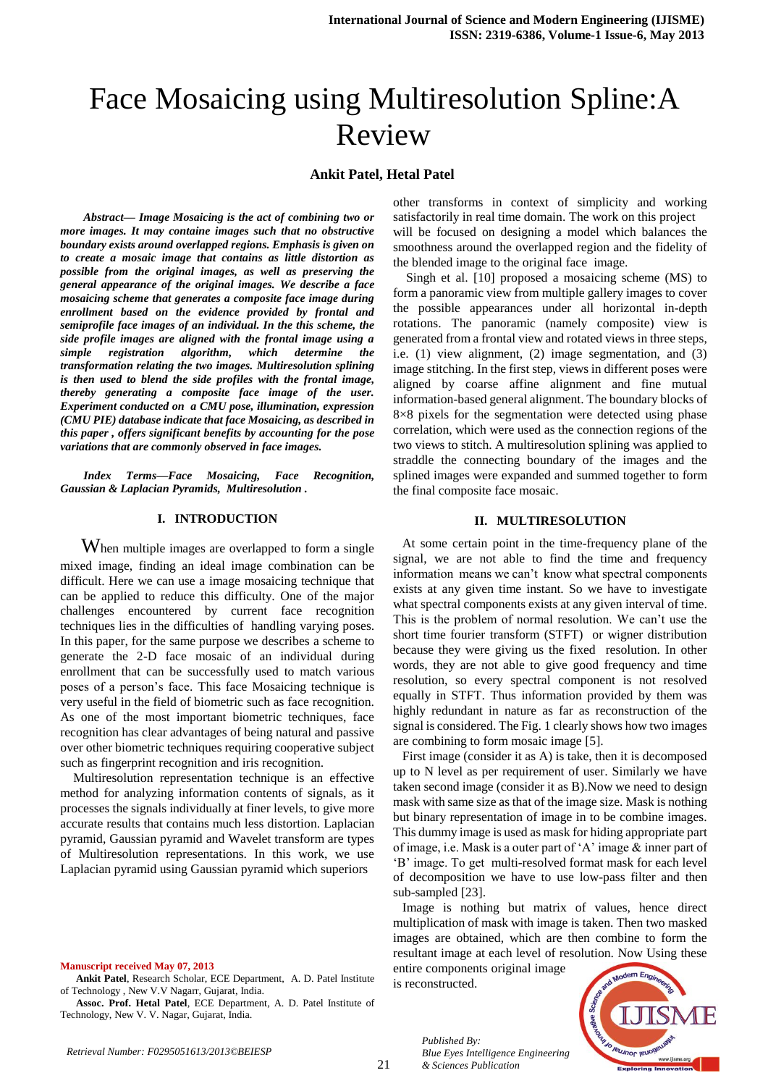# Face Mosaicing using Multiresolution Spline:A Review

# **Ankit Patel, Hetal Patel**

*Abstract***—** *Image Mosaicing is the act of combining two or more images. It may containe images such that no obstructive boundary exists around overlapped regions. Emphasis is given on to create a mosaic image that contains as little distortion as possible from the original images, as well as preserving the general appearance of the original images. We describe a face mosaicing scheme that generates a composite face image during enrollment based on the evidence provided by frontal and semiprofile face images of an individual. In the this scheme, the side profile images are aligned with the frontal image using a simple registration algorithm, which determine the transformation relating the two images. Multiresolution splining is then used to blend the side profiles with the frontal image, thereby generating a composite face image of the user. Experiment conducted on a CMU pose, illumination, expression (CMU PIE) database indicate that face Mosaicing, as described in this paper , offers significant benefits by accounting for the pose variations that are commonly observed in face images.*

*Index Terms***—***Face Mosaicing, Face Recognition, Gaussian & Laplacian Pyramids, Multiresolution .*

# **I. INTRODUCTION**

When multiple images are overlapped to form a single mixed image, finding an ideal image combination can be difficult. Here we can use a image mosaicing technique that can be applied to reduce this difficulty. One of the major challenges encountered by current face recognition techniques lies in the difficulties of handling varying poses. In this paper, for the same purpose we describes a scheme to generate the 2-D face mosaic of an individual during enrollment that can be successfully used to match various poses of a person's face. This face Mosaicing technique is very useful in the field of biometric such as face recognition. As one of the most important biometric techniques, face recognition has clear advantages of being natural and passive over other biometric techniques requiring cooperative subject such as fingerprint recognition and iris recognition.

Multiresolution representation technique is an effective method for analyzing information contents of signals, as it processes the signals individually at finer levels, to give more accurate results that contains much less distortion. Laplacian pyramid, Gaussian pyramid and Wavelet transform are types of Multiresolution representations. In this work, we use Laplacian pyramid using Gaussian pyramid which superiors

**Manuscript received May 07, 2013**

**Ankit Patel**, Research Scholar, ECE Department, A. D. Patel Institute of Technology , New V.V Nagarr, Gujarat, India.

**Assoc. Prof. Hetal Patel**, ECE Department, A. D. Patel Institute of Technology, New V. V. Nagar, Gujarat, India.

other transforms in context of simplicity and working satisfactorily in real time domain. The work on this project will be focused on designing a model which balances the smoothness around the overlapped region and the fidelity of the blended image to the original face image.

Singh et al. [10] proposed a mosaicing scheme (MS) to form a panoramic view from multiple gallery images to cover the possible appearances under all horizontal in-depth rotations. The panoramic (namely composite) view is generated from a frontal view and rotated views in three steps, i.e. (1) view alignment, (2) image segmentation, and (3) image stitching. In the first step, views in different poses were aligned by coarse affine alignment and fine mutual information-based general alignment. The boundary blocks of 8×8 pixels for the segmentation were detected using phase correlation, which were used as the connection regions of the two views to stitch. A multiresolution splining was applied to straddle the connecting boundary of the images and the splined images were expanded and summed together to form the final composite face mosaic.

## **II. MULTIRESOLUTION**

At some certain point in the time-frequency plane of the signal, we are not able to find the time and frequency information means we can't know what spectral components exists at any given time instant. So we have to investigate what spectral components exists at any given interval of time. This is the problem of normal resolution. We can't use the short time fourier transform (STFT) or wigner distribution because they were giving us the fixed resolution. In other words, they are not able to give good frequency and time resolution, so every spectral component is not resolved equally in STFT. Thus information provided by them was highly redundant in nature as far as reconstruction of the signal is considered. The Fig. 1 clearly shows how two images are combining to form mosaic image [5].

First image (consider it as A) is take, then it is decomposed up to N level as per requirement of user. Similarly we have taken second image (consider it as B).Now we need to design mask with same size as that of the image size. Mask is nothing but binary representation of image in to be combine images. This dummy image is used as mask for hiding appropriate part of image, i.e. Mask is a outer part of 'A' image & inner part of 'B' image. To get multi-resolved format mask for each level of decomposition we have to use low-pass filter and then sub-sampled [23].

Image is nothing but matrix of values, hence direct multiplication of mask with image is taken. Then two masked images are obtained, which are then combine to form the resultant image at each level of resolution. Now Using these

entire components original image is reconstructed.



*Published By: Blue Eyes Intelligence Engineering & Sciences Publication*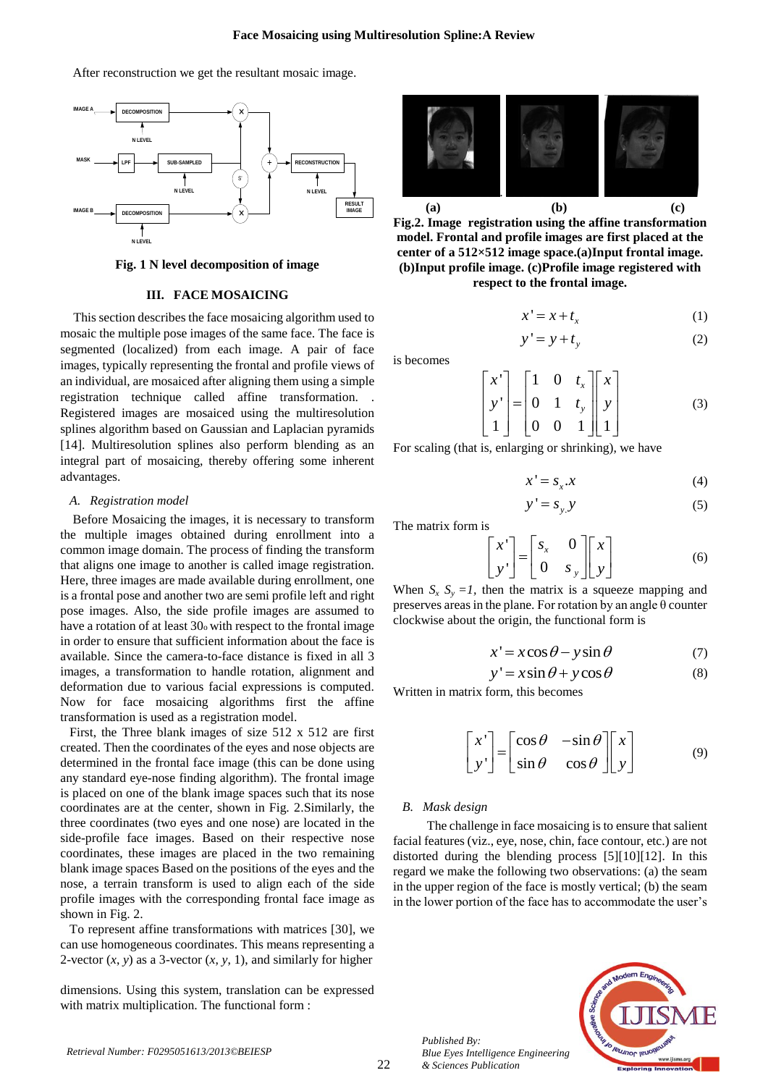After reconstruction we get the resultant mosaic image.



**Fig. 1 N level decomposition of image**

# **III. FACE MOSAICING**

This section describes the face mosaicing algorithm used to mosaic the multiple pose images of the same face. The face is segmented (localized) from each image. A pair of face images, typically representing the frontal and profile views of an individual, are mosaiced after aligning them using a simple registration technique called affine transformation. Registered images are mosaiced using the multiresolution splines algorithm based on Gaussian and Laplacian pyramids [14]. Multiresolution splines also perform blending as an integral part of mosaicing, thereby offering some inherent advantages.

## *A. Registration model*

Before Mosaicing the images, it is necessary to transform the multiple images obtained during enrollment into a common image domain. The process of finding the transform that aligns one image to another is called image registration. Here, three images are made available during enrollment, one is a frontal pose and another two are semi profile left and right pose images. Also, the side profile images are assumed to have a rotation of at least 30<sup>o</sup> with respect to the frontal image in order to ensure that sufficient information about the face is available. Since the camera-to-face distance is fixed in all 3 images, a transformation to handle rotation, alignment and deformation due to various facial expressions is computed. Now for face mosaicing algorithms first the affine transformation is used as a registration model.

First, the Three blank images of size 512 x 512 are first created. Then the coordinates of the eyes and nose objects are determined in the frontal face image (this can be done using any standard eye-nose finding algorithm). The frontal image is placed on one of the blank image spaces such that its nose coordinates are at the center, shown in Fig. 2.Similarly, the three coordinates (two eyes and one nose) are located in the side-profile face images. Based on their respective nose coordinates, these images are placed in the two remaining blank image spaces Based on the positions of the eyes and the nose, a terrain transform is used to align each of the side profile images with the corresponding frontal face image as shown in Fig. 2.

To represent affine transformations with matrices [30], we can use homogeneous coordinates. This means representing a 2-vector  $(x, y)$  as a 3-vector  $(x, y, 1)$ , and similarly for higher

dimensions. Using this system, translation can be expressed with matrix multiplication. The functional form :



**Fig.2. Image registration using the affine transformation model. Frontal and profile images are first placed at the center of a 512×512 image space.(a)Input frontal image. (b)Input profile image. (c)Profile image registered with respect to the frontal image.**

$$
x' = x + t_x \tag{1}
$$

$$
y' = y + t_y \tag{2}
$$

is becomes

$$
\begin{bmatrix} x' \\ y' \\ 1 \end{bmatrix} = \begin{bmatrix} 1 & 0 & t_x \\ 0 & 1 & t_y \\ 0 & 0 & 1 \end{bmatrix} \begin{bmatrix} x \\ y \\ 1 \end{bmatrix}
$$
 (3)

For scaling (that is, enlarging or shrinking), we have

$$
x' = s_x \cdot x \tag{4}
$$

$$
y' = s_{y} y \tag{5}
$$

The matrix form is

$$
\begin{bmatrix} x' \\ y' \end{bmatrix} = \begin{bmatrix} s_x & 0 \\ 0 & s_y \end{bmatrix} \begin{bmatrix} x \\ y \end{bmatrix}
$$
 (6)

When  $S_x S_y = I$ , then the matrix is a squeeze mapping and preserves areas in the plane. For rotation by an angle  $\theta$  counter clockwise about the origin, the functional form is

$$
x' = x\cos\theta - y\sin\theta\tag{7}
$$

$$
y' = x \sin \theta + y \cos \theta \tag{8}
$$

Written in matrix form, this becomes

$$
\begin{bmatrix} x' \\ y' \end{bmatrix} = \begin{bmatrix} \cos \theta & -\sin \theta \\ \sin \theta & \cos \theta \end{bmatrix} \begin{bmatrix} x \\ y \end{bmatrix}
$$
 (9)

## *B. Mask design*

 The challenge in face mosaicing is to ensure that salient facial features (viz., eye, nose, chin, face contour, etc.) are not distorted during the blending process [5][10][12]. In this regard we make the following two observations: (a) the seam in the upper region of the face is mostly vertical; (b) the seam in the lower portion of the face has to accommodate the user's



22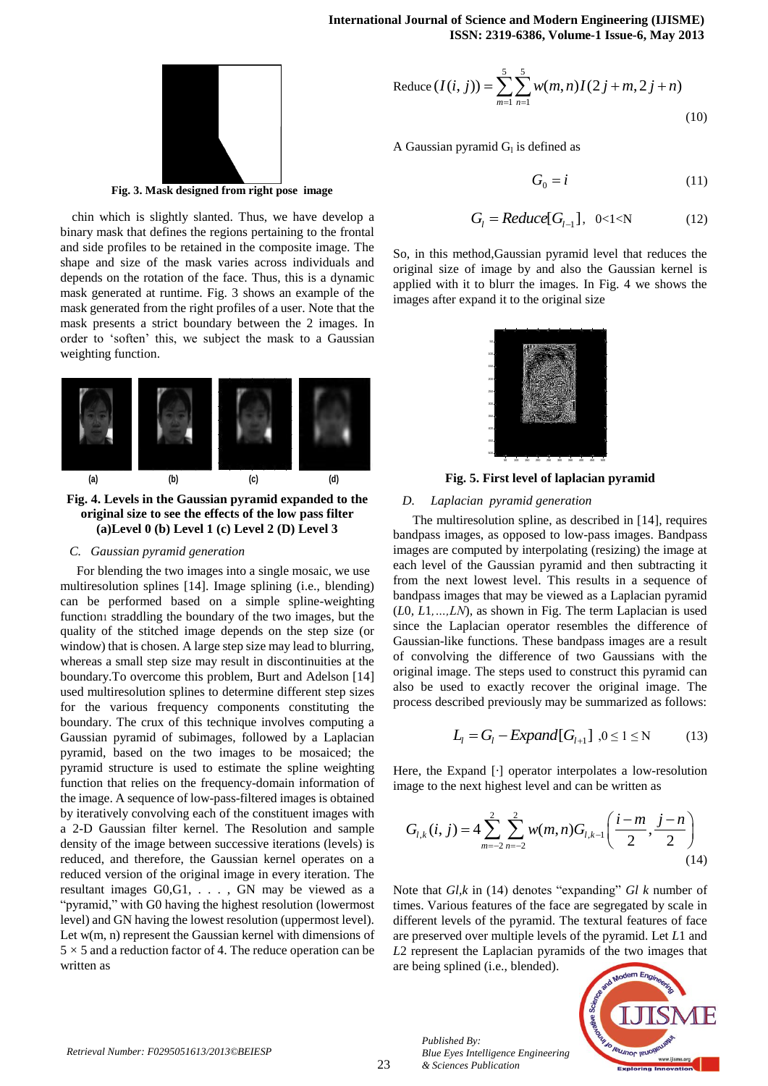

**Fig. 3. Mask designed from right pose image**

chin which is slightly slanted. Thus, we have develop a binary mask that defines the regions pertaining to the frontal and side profiles to be retained in the composite image. The shape and size of the mask varies across individuals and depends on the rotation of the face. Thus, this is a dynamic mask generated at runtime. Fig. 3 shows an example of the mask generated from the right profiles of a user. Note that the mask presents a strict boundary between the 2 images. In order to 'soften' this, we subject the mask to a Gaussian weighting function.



**Fig. 4. Levels in the Gaussian pyramid expanded to the original size to see the effects of the low pass filter (a)Level 0 (b) Level 1 (c) Level 2 (D) Level 3**

#### *C. Gaussian pyramid generation*

 For blending the two images into a single mosaic, we use multiresolution splines [14]. Image splining (i.e., blending) can be performed based on a simple spline-weighting function1 straddling the boundary of the two images, but the quality of the stitched image depends on the step size (or window) that is chosen. A large step size may lead to blurring, whereas a small step size may result in discontinuities at the boundary.To overcome this problem, Burt and Adelson [14] used multiresolution splines to determine different step sizes for the various frequency components constituting the boundary. The crux of this technique involves computing a Gaussian pyramid of subimages, followed by a Laplacian pyramid, based on the two images to be mosaiced; the pyramid structure is used to estimate the spline weighting function that relies on the frequency-domain information of the image. A sequence of low-pass-filtered images is obtained by iteratively convolving each of the constituent images with a 2-D Gaussian filter kernel. The Resolution and sample density of the image between successive iterations (levels) is reduced, and therefore, the Gaussian kernel operates on a reduced version of the original image in every iteration. The resultant images G0,G1, . . . , GN may be viewed as a "pyramid," with G0 having the highest resolution (lowermost level) and GN having the lowest resolution (uppermost level). Let w(m, n) represent the Gaussian kernel with dimensions of 5 *×* 5 and a reduction factor of 4. The reduce operation can be written as

Reduce 
$$
(I(i, j)) = \sum_{m=1}^{5} \sum_{n=1}^{5} w(m, n)I(2j + m, 2j + n)
$$
 (10)

A Gaussian pyramid  $G<sub>l</sub>$  is defined as

$$
G_0 = i \tag{11}
$$

$$
G_l = Reduce[G_{l-1}], \quad 0 < 1 < N \tag{12}
$$

So, in this method,Gaussian pyramid level that reduces the original size of image by and also the Gaussian kernel is applied with it to blurr the images. In Fig. 4 we shows the images after expand it to the original size



**Fig. 5. First level of laplacian pyramid**

# *D. Laplacian pyramid generation*

 The multiresolution spline, as described in [14], requires bandpass images, as opposed to low-pass images. Bandpass images are computed by interpolating (resizing) the image at each level of the Gaussian pyramid and then subtracting it from the next lowest level. This results in a sequence of bandpass images that may be viewed as a Laplacian pyramid (*L*0*, L*1*,…,LN*), as shown in Fig. The term Laplacian is used since the Laplacian operator resembles the difference of Gaussian-like functions. These bandpass images are a result of convolving the difference of two Gaussians with the original image. The steps used to construct this pyramid can also be used to exactly recover the original image. The process described previously may be summarized as follows:

$$
L_{l} = G_{l} - Expand[G_{l+1}], 0 \leq l \leq N
$$
 (13)

Here, the Expand [*·*] operator interpolates a low-resolution

image to the next highest level and can be written as  
\n
$$
G_{l,k}(i, j) = 4 \sum_{m=-2}^{2} \sum_{n=-2}^{2} w(m, n) G_{l,k-1} \left( \frac{i-m}{2}, \frac{j-n}{2} \right)
$$
\n(14)

Note that *Gl,k* in (14) denotes "expanding" *Gl k* number of times. Various features of the face are segregated by scale in different levels of the pyramid. The textural features of face are preserved over multiple levels of the pyramid. Let *L*1 and *L*2 represent the Laplacian pyramids of the two images that are being splined (i.e., blended).



*Published By:*

*& Sciences Publication* 

*Blue Eyes Intelligence Engineering*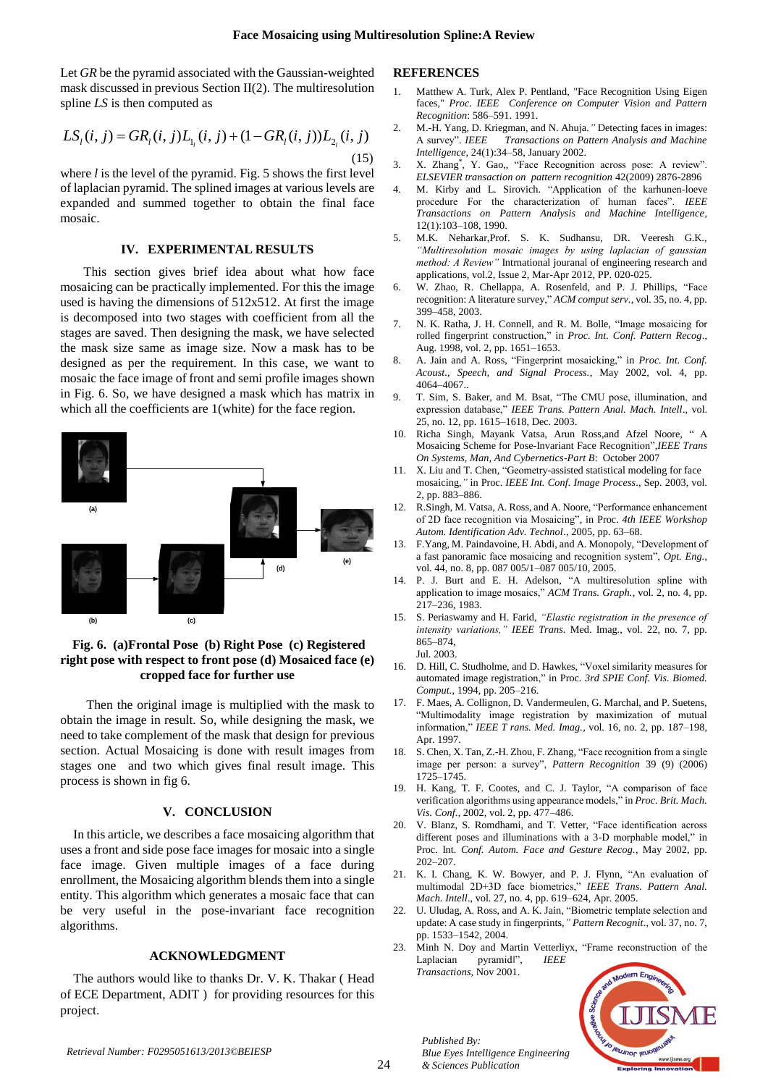Let *GR* be the pyramid associated with the Gaussian-weighted mask discussed in previous Section II(2). The multiresolution

spline LS is then computed as  
\n
$$
LS_{i}(i, j) = GR_{i}(i, j)L_{1_{i}}(i, j) + (1 - GR_{i}(i, j))L_{2_{i}}(i, j)
$$
\n(15)

where *l* is the level of the pyramid. Fig. 5 shows the first level of laplacian pyramid. The splined images at various levels are expanded and summed together to obtain the final face mosaic.

## **IV. EXPERIMENTAL RESULTS**

This section gives brief idea about what how face mosaicing can be practically implemented. For this the image used is having the dimensions of 512x512. At first the image is decomposed into two stages with coefficient from all the stages are saved. Then designing the mask, we have selected the mask size same as image size. Now a mask has to be designed as per the requirement. In this case, we want to mosaic the face image of front and semi profile images shown in Fig. 6. So, we have designed a mask which has matrix in which all the coefficients are 1(white) for the face region.



**Fig. 6. (a)Frontal Pose (b) Right Pose (c) Registered right pose with respect to front pose (d) Mosaiced face (e) cropped face for further use**

Then the original image is multiplied with the mask to obtain the image in result. So, while designing the mask, we need to take complement of the mask that design for previous section. Actual Mosaicing is done with result images from stages one and two which gives final result image. This process is shown in fig 6.

## **V. CONCLUSION**

In this article, we describes a face mosaicing algorithm that uses a front and side pose face images for mosaic into a single face image. Given multiple images of a face during enrollment, the Mosaicing algorithm blends them into a single entity. This algorithm which generates a mosaic face that can be very useful in the pose-invariant face recognition algorithms.

# **ACKNOWLEDGMENT**

The authors would like to thanks Dr. V. K. Thakar ( Head of ECE Department, ADIT ) for providing resources for this project.

## **REFERENCES**

- 1. Matthew A. Turk, Alex P. Pentland, ["Face Recognition Using Eigen](http://www.cs.ucsb.edu/~mturk/Papers/mturk-CVPR91.pdf)  [faces,"](http://www.cs.ucsb.edu/~mturk/Papers/mturk-CVPR91.pdf) *Proc. IEEE Conference on Computer Vision and Pattern Recognition*: 586–591. 1991.
- 2. M.-H. Yang, D. Kriegman, and N. Ahuja*."* Detecting faces in images: A survey". *IEEE Transactions on Pattern Analysis and Machine Intelligence,* 24(1):34–58, January 2002.
- 3. X. Zhang\* , Y. Gao,, "Face Recognition across pose: A review". *ELSEVIER transaction on pattern recognition* 42(2009) 2876-2896
- 4. M. Kirby and L. Sirovich. "Application of the karhunen-loeve procedure For the characterization of human faces". *IEEE Transactions on Pattern Analysis and Machine Intelligence*, 12(1):103–108, 1990.
- 5. M.K. Neharkar,Prof. S. K. Sudhansu, DR. Veeresh G.K., *"Multiresolution mosaic images by using laplacian of gaussian method: A Review"* Intrnational jouranal of engineering research and applications, vol.2, Issue 2, Mar-Apr 2012, PP. 020-025.
- 6. W. Zhao, R. Chellappa, A. Rosenfeld, and P. J. Phillips, "Face recognition: A literature survey," *ACM comput serv.,* vol. 35, no. 4, pp. 399–458, 2003.
- 7. N. K. Ratha, J. H. Connell, and R. M. Bolle, "Image mosaicing for rolled fingerprint construction," in *Proc. Int. Conf. Pattern Recog*., Aug. 1998, vol. 2, pp. 1651–1653.
- 8. A. Jain and A. Ross, "Fingerprint mosaicking," in *Proc. Int. Conf. Acoust., Speech, and Signal Process.*, May 2002, vol. 4, pp. 4064–4067..
- 9. T. Sim, S. Baker, and M. Bsat, "The CMU pose, illumination, and expression database," *IEEE Trans. Pattern Anal. Mach. Intell*., vol. 25, no. 12, pp. 1615–1618, Dec. 2003.
- 10. Richa Singh, Mayank Vatsa, Arun Ross,and Afzel Noore, " A Mosaicing Scheme for Pose-Invariant Face Recognition",*IEEE Trans On Systems, Man, And Cybernetics-Part B*: October 2007
- 11. X. Liu and T. Chen*,* "Geometry-assisted statistical modeling for face mosaicing,*"* in Proc. *IEEE Int. Conf. Image Process*., Sep. 2003, vol. 2, pp. 883–886.
- 12. R.Singh, M. Vatsa, A. Ross, and A. Noore, "Performance enhancement of 2D face recognition via Mosaicing"*,* in Proc. *4th IEEE Workshop Autom. Identification Adv. Technol*., 2005, pp. 63–68.
- 13. F.Yang, M. Paindavoine, H. Abdi, and A. Monopoly, "Development of a fast panoramic face mosaicing and recognition system", *Opt. Eng.*, vol. 44, no. 8, pp. 087 005/1–087 005/10, 2005.
- 14. P. J. Burt and E. H. Adelson, "A multiresolution spline with application to image mosaics," *ACM Trans. Graph.,* vol. 2, no. 4, pp. 217–236, 1983.
- 15. S. Periaswamy and H. Farid, *"Elastic registration in the presence of intensity variations," IEEE Trans*. Med. Imag*.*, vol. 22, no. 7, pp. 865–874, Jul. 2003.
- 16. D. Hill, C. Studholme, and D. Hawkes, "Voxel similarity measures for automated image registration," in Proc. *3rd SPIE Conf. Vis. Biomed. Comput.*, 1994, pp. 205–216.
- 17. F. Maes, A. Collignon, D. Vandermeulen, G. Marchal, and P. Suetens, "Multimodality image registration by maximization of mutual information," *IEEE T rans. Med. Imag.,* vol. 16, no. 2, pp. 187–198, Apr. 1997.
- 18. S. Chen, X. Tan, Z.-H. Zhou, F. Zhang*,* "Face recognition from a single image per person: a survey", *Pattern Recognition* 39 (9) (2006) 1725–1745.
- 19. H. Kang, T. F. Cootes, and C. J. Taylor, "A comparison of face verification algorithms using appearance models," in *Proc. Brit. Mach. Vis. Conf.*, 2002, vol. 2, pp. 477–486.
- 20. V. Blanz, S. Romdhami, and T. Vetter, "Face identification across different poses and illuminations with a 3-D morphable model," in Proc. Int. *Conf. Autom. Face and Gesture Recog.,* May 2002, pp. 202–207.
- 21. K. I. Chang, K. W. Bowyer, and P. J. Flynn, "An evaluation of multimodal 2D+3D face biometrics," *IEEE Trans. Pattern Anal. Mach. Intell*., vol. 27, no. 4, pp. 619–624, Apr. 2005.
- 22. U. Uludag, A. Ross, and A. K. Jain*,* "Biometric template selection and update: A case study in fingerprints,*" Pattern Recognit*., vol. 37, no. 7, pp. 1533–1542, 2004.
- 23. Minh N. Doy and Martin Vetterliyx, "Frame reconstruction of the Laplacian pyramid‖", *IEEE Transactions*, Nov 2001.



*Published By:*

*& Sciences Publication* 

*Blue Eyes Intelligence Engineering*